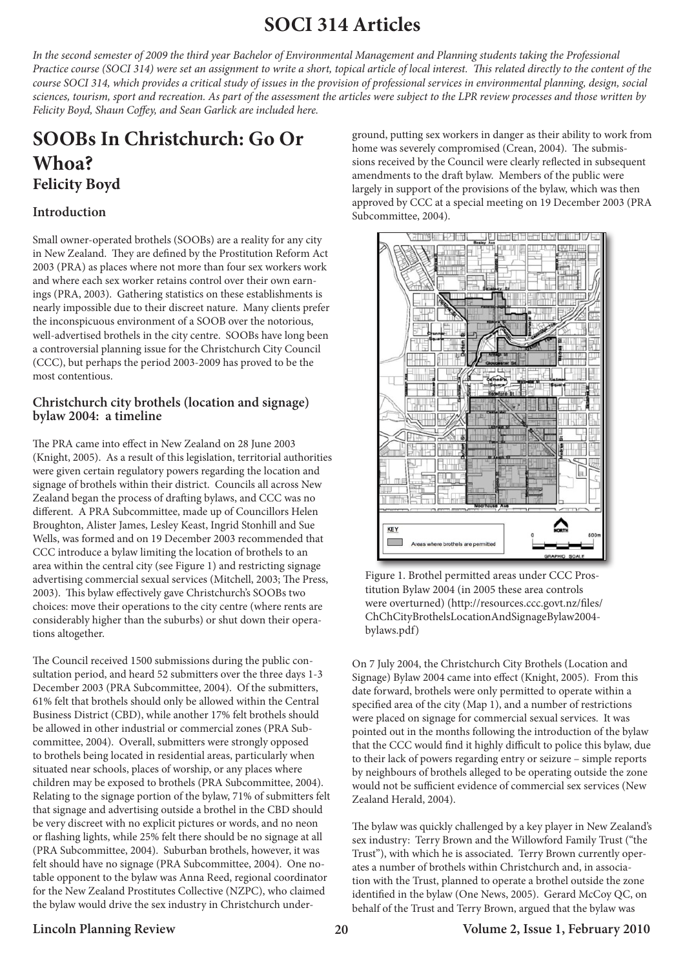# **SOCI 314 Articles**

*In the second semester of 2009 the third year Bachelor of Environmental Management and Planning students taking the Professional Practice course (SOCI 314) were set an assignment to write a short, topical article of local interest. This related directly to the content of the course SOCI 314, which provides a critical study of issues in the provision of professional services in environmental planning, design, social sciences, tourism, sport and recreation. As part of the assessment the articles were subject to the LPR review processes and those written by Felicity Boyd, Shaun Coffey, and Sean Garlick are included here.*

## **SOOBs In Christchurch: Go Or Whoa? Felicity Boyd**

#### **Introduction**

Small owner-operated brothels (SOOBs) are a reality for any city in New Zealand. They are defined by the Prostitution Reform Act 2003 (PRA) as places where not more than four sex workers work and where each sex worker retains control over their own earnings (PRA, 2003). Gathering statistics on these establishments is nearly impossible due to their discreet nature. Many clients prefer the inconspicuous environment of a SOOB over the notorious, well-advertised brothels in the city centre. SOOBs have long been a controversial planning issue for the Christchurch City Council (CCC), but perhaps the period 2003-2009 has proved to be the most contentious.

#### **Christchurch city brothels (location and signage) bylaw 2004: a timeline**

The PRA came into effect in New Zealand on 28 June 2003 (Knight, 2005). As a result of this legislation, territorial authorities were given certain regulatory powers regarding the location and signage of brothels within their district. Councils all across New Zealand began the process of drafting bylaws, and CCC was no different. A PRA Subcommittee, made up of Councillors Helen Broughton, Alister James, Lesley Keast, Ingrid Stonhill and Sue Wells, was formed and on 19 December 2003 recommended that CCC introduce a bylaw limiting the location of brothels to an area within the central city (see Figure 1) and restricting signage advertising commercial sexual services (Mitchell, 2003; The Press, 2003). This bylaw effectively gave Christchurch's SOOBs two choices: move their operations to the city centre (where rents are considerably higher than the suburbs) or shut down their operations altogether.

The Council received 1500 submissions during the public consultation period, and heard 52 submitters over the three days 1-3 December 2003 (PRA Subcommittee, 2004). Of the submitters, 61% felt that brothels should only be allowed within the Central Business District (CBD), while another 17% felt brothels should be allowed in other industrial or commercial zones (PRA Subcommittee, 2004). Overall, submitters were strongly opposed to brothels being located in residential areas, particularly when situated near schools, places of worship, or any places where children may be exposed to brothels (PRA Subcommittee, 2004). Relating to the signage portion of the bylaw, 71% of submitters felt that signage and advertising outside a brothel in the CBD should be very discreet with no explicit pictures or words, and no neon or flashing lights, while 25% felt there should be no signage at all (PRA Subcommittee, 2004). Suburban brothels, however, it was felt should have no signage (PRA Subcommittee, 2004). One notable opponent to the bylaw was Anna Reed, regional coordinator for the New Zealand Prostitutes Collective (NZPC), who claimed the bylaw would drive the sex industry in Christchurch under-

ground, putting sex workers in danger as their ability to work from home was severely compromised (Crean, 2004). The submissions received by the Council were clearly reflected in subsequent amendments to the draft bylaw. Members of the public were largely in support of the provisions of the bylaw, which was then approved by CCC at a special meeting on 19 December 2003 (PRA Subcommittee, 2004).



Figure 1. Brothel permitted areas under CCC Prostitution Bylaw 2004 (in 2005 these area controls were overturned) (http://resources.ccc.govt.nz/files/ ChChCityBrothelsLocationAndSignageBylaw2004 bylaws.pdf)

On 7 July 2004, the Christchurch City Brothels (Location and Signage) Bylaw 2004 came into effect (Knight, 2005). From this date forward, brothels were only permitted to operate within a specified area of the city (Map 1), and a number of restrictions were placed on signage for commercial sexual services. It was pointed out in the months following the introduction of the bylaw that the CCC would find it highly difficult to police this bylaw, due to their lack of powers regarding entry or seizure – simple reports by neighbours of brothels alleged to be operating outside the zone would not be sufficient evidence of commercial sex services (New Zealand Herald, 2004).

The bylaw was quickly challenged by a key player in New Zealand's sex industry: Terry Brown and the Willowford Family Trust ("the Trust"), with which he is associated. Terry Brown currently operates a number of brothels within Christchurch and, in association with the Trust, planned to operate a brothel outside the zone identified in the bylaw (One News, 2005). Gerard McCoy QC, on behalf of the Trust and Terry Brown, argued that the bylaw was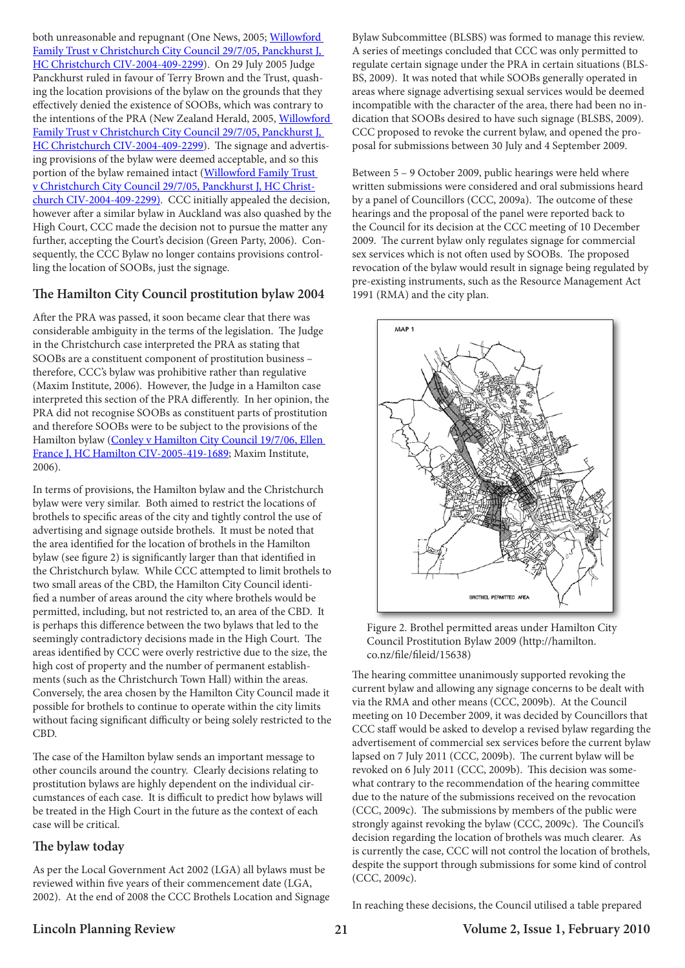both unreasonable and repugnant (One News, 2005; Willowford Family Trust v Christchurch City Council 29/7/05, Panckhurst J, HC Christchurch CIV-2004-409-2299). On 29 July 2005 Judge Panckhurst ruled in favour of Terry Brown and the Trust, quashing the location provisions of the bylaw on the grounds that they effectively denied the existence of SOOBs, which was contrary to the intentions of the PRA (New Zealand Herald, 2005, Willowford Family Trust v Christchurch City Council 29/7/05, Panckhurst J, HC Christchurch CIV-2004-409-2299). The signage and advertising provisions of the bylaw were deemed acceptable, and so this portion of the bylaw remained intact (Willowford Family Trust v Christchurch City Council 29/7/05, Panckhurst J, HC Christchurch CIV-2004-409-2299). CCC initially appealed the decision, however after a similar bylaw in Auckland was also quashed by the High Court, CCC made the decision not to pursue the matter any further, accepting the Court's decision (Green Party, 2006). Consequently, the CCC Bylaw no longer contains provisions controlling the location of SOOBs, just the signage.

#### **The Hamilton City Council prostitution bylaw 2004**

After the PRA was passed, it soon became clear that there was considerable ambiguity in the terms of the legislation. The Judge in the Christchurch case interpreted the PRA as stating that SOOBs are a constituent component of prostitution business – therefore, CCC's bylaw was prohibitive rather than regulative (Maxim Institute, 2006). However, the Judge in a Hamilton case interpreted this section of the PRA differently. In her opinion, the PRA did not recognise SOOBs as constituent parts of prostitution and therefore SOOBs were to be subject to the provisions of the Hamilton bylaw (Conley v Hamilton City Council 19/7/06, Ellen France J, HC Hamilton CIV-2005-419-1689; Maxim Institute, 2006).

In terms of provisions, the Hamilton bylaw and the Christchurch bylaw were very similar. Both aimed to restrict the locations of brothels to specific areas of the city and tightly control the use of advertising and signage outside brothels. It must be noted that the area identified for the location of brothels in the Hamilton bylaw (see figure 2) is significantly larger than that identified in the Christchurch bylaw. While CCC attempted to limit brothels to two small areas of the CBD, the Hamilton City Council identified a number of areas around the city where brothels would be permitted, including, but not restricted to, an area of the CBD. It is perhaps this difference between the two bylaws that led to the seemingly contradictory decisions made in the High Court. The areas identified by CCC were overly restrictive due to the size, the high cost of property and the number of permanent establishments (such as the Christchurch Town Hall) within the areas. Conversely, the area chosen by the Hamilton City Council made it possible for brothels to continue to operate within the city limits without facing significant difficulty or being solely restricted to the CBD.

The case of the Hamilton bylaw sends an important message to other councils around the country. Clearly decisions relating to prostitution bylaws are highly dependent on the individual circumstances of each case. It is difficult to predict how bylaws will be treated in the High Court in the future as the context of each case will be critical.

#### **The bylaw today**

As per the Local Government Act 2002 (LGA) all bylaws must be reviewed within five years of their commencement date (LGA, 2002). At the end of 2008 the CCC Brothels Location and Signage

Bylaw Subcommittee (BLSBS) was formed to manage this review. A series of meetings concluded that CCC was only permitted to regulate certain signage under the PRA in certain situations (BLS-BS, 2009). It was noted that while SOOBs generally operated in areas where signage advertising sexual services would be deemed incompatible with the character of the area, there had been no indication that SOOBs desired to have such signage (BLSBS, 2009). CCC proposed to revoke the current bylaw, and opened the proposal for submissions between 30 July and 4 September 2009.

Between 5 – 9 October 2009, public hearings were held where written submissions were considered and oral submissions heard by a panel of Councillors (CCC, 2009a). The outcome of these hearings and the proposal of the panel were reported back to the Council for its decision at the CCC meeting of 10 December 2009. The current bylaw only regulates signage for commercial sex services which is not often used by SOOBs. The proposed revocation of the bylaw would result in signage being regulated by pre-existing instruments, such as the Resource Management Act 1991 (RMA) and the city plan.



Figure 2. Brothel permitted areas under Hamilton City Council Prostitution Bylaw 2009 (http://hamilton. co.nz/file/fileid/15638)

The hearing committee unanimously supported revoking the current bylaw and allowing any signage concerns to be dealt with via the RMA and other means (CCC, 2009b). At the Council meeting on 10 December 2009, it was decided by Councillors that CCC staff would be asked to develop a revised bylaw regarding the advertisement of commercial sex services before the current bylaw lapsed on 7 July 2011 (CCC, 2009b). The current bylaw will be revoked on 6 July 2011 (CCC, 2009b). This decision was somewhat contrary to the recommendation of the hearing committee due to the nature of the submissions received on the revocation (CCC, 2009c). The submissions by members of the public were strongly against revoking the bylaw (CCC, 2009c). The Council's decision regarding the location of brothels was much clearer. As is currently the case, CCC will not control the location of brothels, despite the support through submissions for some kind of control (CCC, 2009c).

In reaching these decisions, the Council utilised a table prepared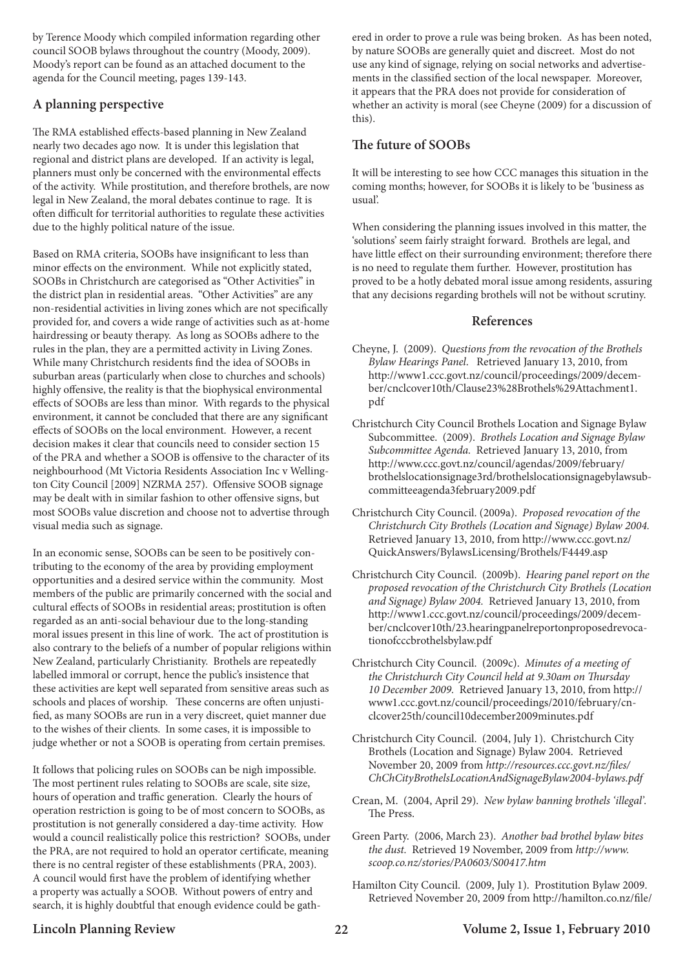by Terence Moody which compiled information regarding other council SOOB bylaws throughout the country (Moody, 2009). Moody's report can be found as an attached document to the agenda for the Council meeting, pages 139-143.

### **A planning perspective**

The RMA established effects-based planning in New Zealand nearly two decades ago now. It is under this legislation that regional and district plans are developed. If an activity is legal, planners must only be concerned with the environmental effects of the activity. While prostitution, and therefore brothels, are now legal in New Zealand, the moral debates continue to rage. It is often difficult for territorial authorities to regulate these activities due to the highly political nature of the issue.

Based on RMA criteria, SOOBs have insignificant to less than minor effects on the environment. While not explicitly stated, SOOBs in Christchurch are categorised as "Other Activities" in the district plan in residential areas. "Other Activities" are any non-residential activities in living zones which are not specifically provided for, and covers a wide range of activities such as at-home hairdressing or beauty therapy. As long as SOOBs adhere to the rules in the plan, they are a permitted activity in Living Zones. While many Christchurch residents find the idea of SOOBs in suburban areas (particularly when close to churches and schools) highly offensive, the reality is that the biophysical environmental effects of SOOBs are less than minor. With regards to the physical environment, it cannot be concluded that there are any significant effects of SOOBs on the local environment. However, a recent decision makes it clear that councils need to consider section 15 of the PRA and whether a SOOB is offensive to the character of its neighbourhood (Mt Victoria Residents Association Inc v Wellington City Council [2009] NZRMA 257). Offensive SOOB signage may be dealt with in similar fashion to other offensive signs, but most SOOBs value discretion and choose not to advertise through visual media such as signage.

In an economic sense, SOOBs can be seen to be positively contributing to the economy of the area by providing employment opportunities and a desired service within the community. Most members of the public are primarily concerned with the social and cultural effects of SOOBs in residential areas; prostitution is often regarded as an anti-social behaviour due to the long-standing moral issues present in this line of work. The act of prostitution is also contrary to the beliefs of a number of popular religions within New Zealand, particularly Christianity. Brothels are repeatedly labelled immoral or corrupt, hence the public's insistence that these activities are kept well separated from sensitive areas such as schools and places of worship. These concerns are often unjustified, as many SOOBs are run in a very discreet, quiet manner due to the wishes of their clients. In some cases, it is impossible to judge whether or not a SOOB is operating from certain premises.

It follows that policing rules on SOOBs can be nigh impossible. The most pertinent rules relating to SOOBs are scale, site size, hours of operation and traffic generation. Clearly the hours of operation restriction is going to be of most concern to SOOBs, as prostitution is not generally considered a day-time activity. How would a council realistically police this restriction? SOOBs, under the PRA, are not required to hold an operator certificate, meaning there is no central register of these establishments (PRA, 2003). A council would first have the problem of identifying whether a property was actually a SOOB. Without powers of entry and search, it is highly doubtful that enough evidence could be gathered in order to prove a rule was being broken. As has been noted, by nature SOOBs are generally quiet and discreet. Most do not use any kind of signage, relying on social networks and advertisements in the classified section of the local newspaper. Moreover, it appears that the PRA does not provide for consideration of whether an activity is moral (see Cheyne (2009) for a discussion of this).

### **The future of SOOBs**

It will be interesting to see how CCC manages this situation in the coming months; however, for SOOBs it is likely to be 'business as usual'.

When considering the planning issues involved in this matter, the 'solutions' seem fairly straight forward. Brothels are legal, and have little effect on their surrounding environment; therefore there is no need to regulate them further. However, prostitution has proved to be a hotly debated moral issue among residents, assuring that any decisions regarding brothels will not be without scrutiny.

#### **References**

- Cheyne, J. (2009). *Questions from the revocation of the Brothels Bylaw Hearings Panel*. Retrieved January 13, 2010, from http://www1.ccc.govt.nz/council/proceedings/2009/december/cnclcover10th/Clause23%28Brothels%29Attachment1. pdf
- Christchurch City Council Brothels Location and Signage Bylaw Subcommittee. (2009). *Brothels Location and Signage Bylaw Subcommittee Agenda.* Retrieved January 13, 2010, from http://www.ccc.govt.nz/council/agendas/2009/february/ brothelslocationsignage3rd/brothelslocationsignagebylawsubcommitteeagenda3february2009.pdf
- Christchurch City Council. (2009a). *Proposed revocation of the Christchurch City Brothels (Location and Signage) Bylaw 2004.* Retrieved January 13, 2010, from http://www.ccc.govt.nz/ QuickAnswers/BylawsLicensing/Brothels/F4449.asp
- Christchurch City Council. (2009b). *Hearing panel report on the proposed revocation of the Christchurch City Brothels (Location and Signage) Bylaw 2004.* Retrieved January 13, 2010, from http://www1.ccc.govt.nz/council/proceedings/2009/december/cnclcover10th/23.hearingpanelreportonproposedrevocationofcccbrothelsbylaw.pdf
- Christchurch City Council. (2009c). *Minutes of a meeting of the Christchurch City Council held at 9.30am on Thursday 10 December 2009.* Retrieved January 13, 2010, from http:// www1.ccc.govt.nz/council/proceedings/2010/february/cnclcover25th/council10december2009minutes.pdf
- Christchurch City Council. (2004, July 1). Christchurch City Brothels (Location and Signage) Bylaw 2004. Retrieved November 20, 2009 from *http://resources.ccc.govt.nz/files/ ChChCityBrothelsLocationAndSignageBylaw2004-bylaws.pdf*
- Crean, M. (2004, April 29). *New bylaw banning brothels 'illegal'.* The Press.
- Green Party. (2006, March 23). *Another bad brothel bylaw bites the dust.* Retrieved 19 November, 2009 from *http://www. scoop.co.nz/stories/PA0603/S00417.htm*
- Hamilton City Council. (2009, July 1). Prostitution Bylaw 2009. Retrieved November 20, 2009 from http://hamilton.co.nz/file/